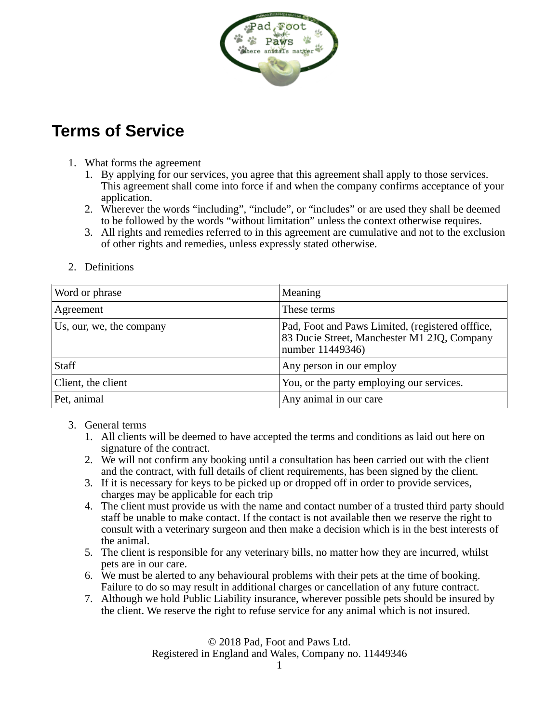

## **Terms of Service**

- 1. What forms the agreement
	- 1. By applying for our services, you agree that this agreement shall apply to those services. This agreement shall come into force if and when the company confirms acceptance of your application.
	- 2. Wherever the words "including", "include", or "includes" or are used they shall be deemed to be followed by the words "without limitation" unless the context otherwise requires.
	- 3. All rights and remedies referred to in this agreement are cumulative and not to the exclusion of other rights and remedies, unless expressly stated otherwise.

| Word or phrase           | <b>Meaning</b>                                                                                                      |
|--------------------------|---------------------------------------------------------------------------------------------------------------------|
| Agreement                | These terms                                                                                                         |
| Us, our, we, the company | Pad, Foot and Paws Limited, (registered offfice,<br>83 Ducie Street, Manchester M1 2JQ, Company<br>number 11449346) |
| Staff                    | Any person in our employ                                                                                            |
| Client, the client       | You, or the party employing our services.                                                                           |
| Pet, animal              | Any animal in our care                                                                                              |

2. Definitions

- 3. General terms
	- 1. All clients will be deemed to have accepted the terms and conditions as laid out here on signature of the contract.
	- 2. We will not confirm any booking until a consultation has been carried out with the client and the contract, with full details of client requirements, has been signed by the client.
	- 3. If it is necessary for keys to be picked up or dropped off in order to provide services, charges may be applicable for each trip
	- 4. The client must provide us with the name and contact number of a trusted third party should staff be unable to make contact. If the contact is not available then we reserve the right to consult with a veterinary surgeon and then make a decision which is in the best interests of the animal.
	- 5. The client is responsible for any veterinary bills, no matter how they are incurred, whilst pets are in our care.
	- 6. We must be alerted to any behavioural problems with their pets at the time of booking. Failure to do so may result in additional charges or cancellation of any future contract.
	- 7. Although we hold Public Liability insurance, wherever possible pets should be insured by the client. We reserve the right to refuse service for any animal which is not insured.

© 2018 Pad, Foot and Paws Ltd. Registered in England and Wales, Company no. 11449346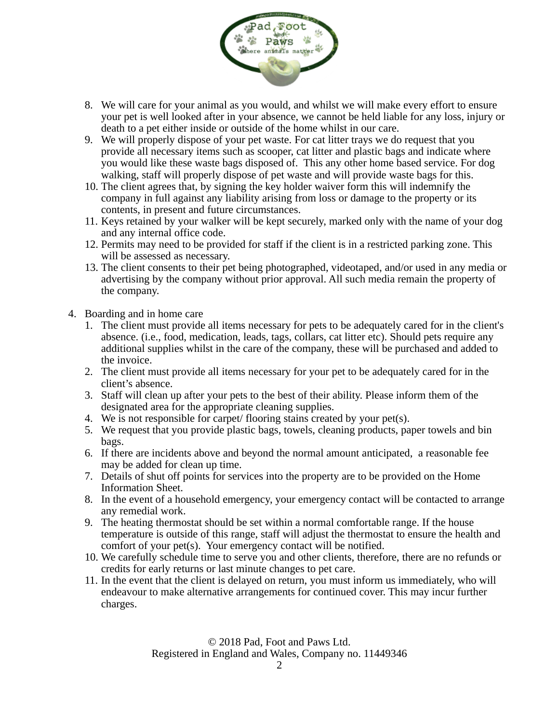

- 8. We will care for your animal as you would, and whilst we will make every effort to ensure your pet is well looked after in your absence, we cannot be held liable for any loss, injury or death to a pet either inside or outside of the home whilst in our care.
- 9. We will properly dispose of your pet waste. For cat litter trays we do request that you provide all necessary items such as scooper, cat litter and plastic bags and indicate where you would like these waste bags disposed of. This any other home based service. For dog walking, staff will properly dispose of pet waste and will provide waste bags for this.
- 10. The client agrees that, by signing the key holder waiver form this will indemnify the company in full against any liability arising from loss or damage to the property or its contents, in present and future circumstances.
- 11. Keys retained by your walker will be kept securely, marked only with the name of your dog and any internal office code.
- 12. Permits may need to be provided for staff if the client is in a restricted parking zone. This will be assessed as necessary.
- 13. The client consents to their pet being photographed, videotaped, and/or used in any media or advertising by the company without prior approval. All such media remain the property of the company.
- 4. Boarding and in home care
	- 1. The client must provide all items necessary for pets to be adequately cared for in the client's absence. (i.e., food, medication, leads, tags, collars, cat litter etc). Should pets require any additional supplies whilst in the care of the company, these will be purchased and added to the invoice.
	- 2. The client must provide all items necessary for your pet to be adequately cared for in the client's absence.
	- 3. Staff will clean up after your pets to the best of their ability. Please inform them of the designated area for the appropriate cleaning supplies.
	- 4. We is not responsible for carpet/ flooring stains created by your pet(s).
	- 5. We request that you provide plastic bags, towels, cleaning products, paper towels and bin bags.
	- 6. If there are incidents above and beyond the normal amount anticipated, a reasonable fee may be added for clean up time.
	- 7. Details of shut off points for services into the property are to be provided on the Home Information Sheet.
	- 8. In the event of a household emergency, your emergency contact will be contacted to arrange any remedial work.
	- 9. The heating thermostat should be set within a normal comfortable range. If the house temperature is outside of this range, staff will adjust the thermostat to ensure the health and comfort of your pet(s). Your emergency contact will be notified.
	- 10. We carefully schedule time to serve you and other clients, therefore, there are no refunds or credits for early returns or last minute changes to pet care.
	- 11. In the event that the client is delayed on return, you must inform us immediately, who will endeavour to make alternative arrangements for continued cover. This may incur further charges.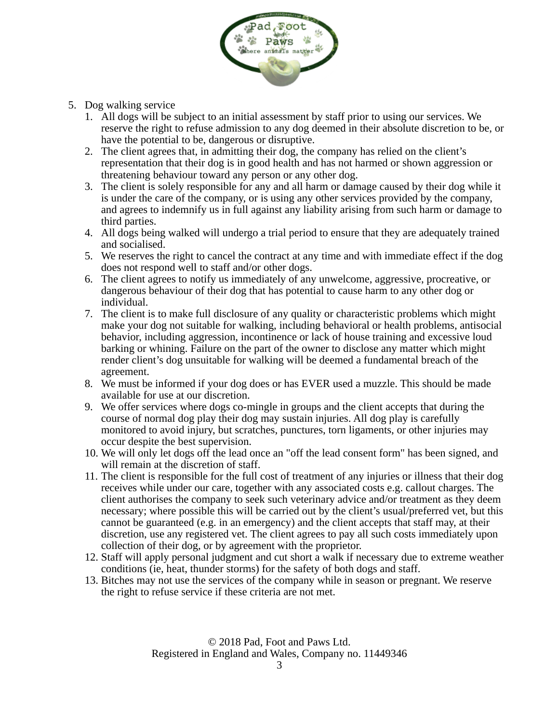

- 5. Dog walking service
	- 1. All dogs will be subject to an initial assessment by staff prior to using our services. We reserve the right to refuse admission to any dog deemed in their absolute discretion to be, or have the potential to be, dangerous or disruptive.
	- 2. The client agrees that, in admitting their dog, the company has relied on the client's representation that their dog is in good health and has not harmed or shown aggression or threatening behaviour toward any person or any other dog.
	- 3. The client is solely responsible for any and all harm or damage caused by their dog while it is under the care of the company, or is using any other services provided by the company, and agrees to indemnify us in full against any liability arising from such harm or damage to third parties.
	- 4. All dogs being walked will undergo a trial period to ensure that they are adequately trained and socialised.
	- 5. We reserves the right to cancel the contract at any time and with immediate effect if the dog does not respond well to staff and/or other dogs.
	- 6. The client agrees to notify us immediately of any unwelcome, aggressive, procreative, or dangerous behaviour of their dog that has potential to cause harm to any other dog or individual.
	- 7. The client is to make full disclosure of any quality or characteristic problems which might make your dog not suitable for walking, including behavioral or health problems, antisocial behavior, including aggression, incontinence or lack of house training and excessive loud barking or whining. Failure on the part of the owner to disclose any matter which might render client's dog unsuitable for walking will be deemed a fundamental breach of the agreement.
	- 8. We must be informed if your dog does or has EVER used a muzzle. This should be made available for use at our discretion.
	- 9. We offer services where dogs co-mingle in groups and the client accepts that during the course of normal dog play their dog may sustain injuries. All dog play is carefully monitored to avoid injury, but scratches, punctures, torn ligaments, or other injuries may occur despite the best supervision.
	- 10. We will only let dogs off the lead once an "off the lead consent form" has been signed, and will remain at the discretion of staff.
	- 11. The client is responsible for the full cost of treatment of any injuries or illness that their dog receives while under our care, together with any associated costs e.g. callout charges. The client authorises the company to seek such veterinary advice and/or treatment as they deem necessary; where possible this will be carried out by the client's usual/preferred vet, but this cannot be guaranteed (e.g. in an emergency) and the client accepts that staff may, at their discretion, use any registered vet. The client agrees to pay all such costs immediately upon collection of their dog, or by agreement with the proprietor.
	- 12. Staff will apply personal judgment and cut short a walk if necessary due to extreme weather conditions (ie, heat, thunder storms) for the safety of both dogs and staff.
	- 13. Bitches may not use the services of the company while in season or pregnant. We reserve the right to refuse service if these criteria are not met.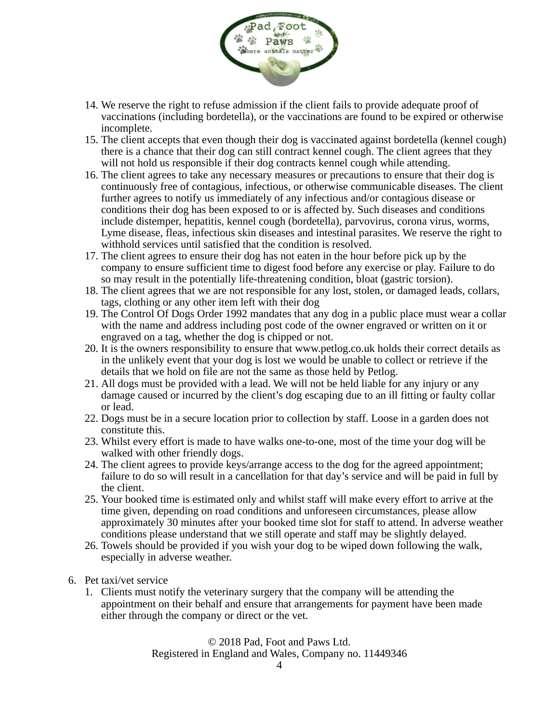

- 14. We reserve the right to refuse admission if the client fails to provide adequate proof of vaccinations (including bordetella), or the vaccinations are found to be expired or otherwise incomplete.
- 15. The client accepts that even though their dog is vaccinated against bordetella (kennel cough) there is a chance that their dog can still contract kennel cough. The client agrees that they will not hold us responsible if their dog contracts kennel cough while attending.
- 16. The client agrees to take any necessary measures or precautions to ensure that their dog is continuously free of contagious, infectious, or otherwise communicable diseases. The client further agrees to notify us immediately of any infectious and/or contagious disease or conditions their dog has been exposed to or is affected by. Such diseases and conditions include distemper, hepatitis, kennel cough (bordetella), parvovirus, corona virus, worms, Lyme disease, fleas, infectious skin diseases and intestinal parasites. We reserve the right to withhold services until satisfied that the condition is resolved.
- 17. The client agrees to ensure their dog has not eaten in the hour before pick up by the company to ensure sufficient time to digest food before any exercise or play. Failure to do so may result in the potentially life-threatening condition, bloat (gastric torsion).
- 18. The client agrees that we are not responsible for any lost, stolen, or damaged leads, collars, tags, clothing or any other item left with their dog
- 19. The Control Of Dogs Order 1992 mandates that any dog in a public place must wear a collar with the name and address including post code of the owner engraved or written on it or engraved on a tag, whether the dog is chipped or not.
- 20. It is the owners responsibility to ensure that www.petlog.co.uk holds their correct details as in the unlikely event that your dog is lost we would be unable to collect or retrieve if the details that we hold on file are not the same as those held by Petlog.
- 21. All dogs must be provided with a lead. We will not be held liable for any injury or any damage caused or incurred by the client's dog escaping due to an ill fitting or faulty collar or lead.
- 22. Dogs must be in a secure location prior to collection by staff. Loose in a garden does not constitute this.
- 23. Whilst every effort is made to have walks one-to-one, most of the time your dog will be walked with other friendly dogs.
- 24. The client agrees to provide keys/arrange access to the dog for the agreed appointment; failure to do so will result in a cancellation for that day's service and will be paid in full by the client.
- 25. Your booked time is estimated only and whilst staff will make every effort to arrive at the time given, depending on road conditions and unforeseen circumstances, please allow approximately 30 minutes after your booked time slot for staff to attend. In adverse weather conditions please understand that we still operate and staff may be slightly delayed.
- 26. Towels should be provided if you wish your dog to be wiped down following the walk, especially in adverse weather.
- 6. Pet taxi/vet service
	- 1. Clients must notify the veterinary surgery that the company will be attending the appointment on their behalf and ensure that arrangements for payment have been made either through the company or direct or the vet.

© 2018 Pad, Foot and Paws Ltd.

Registered in England and Wales, Company no. 11449346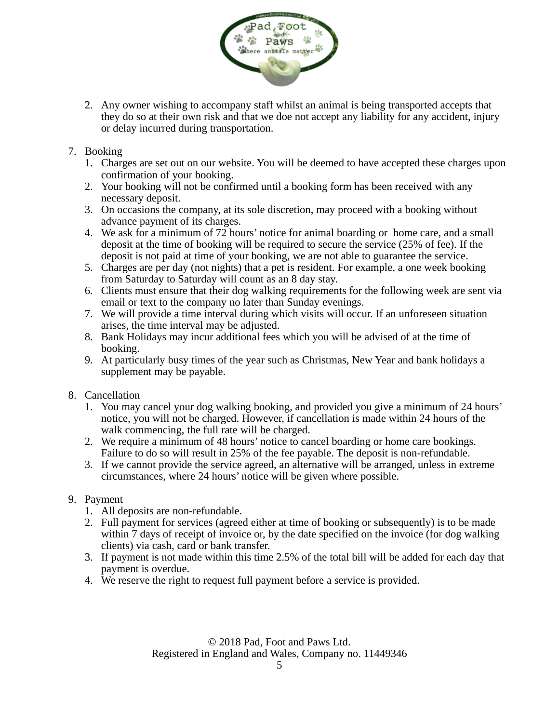

- 2. Any owner wishing to accompany staff whilst an animal is being transported accepts that they do so at their own risk and that we doe not accept any liability for any accident, injury or delay incurred during transportation.
- 7. Booking
	- 1. Charges are set out on our website. You will be deemed to have accepted these charges upon confirmation of your booking.
	- 2. Your booking will not be confirmed until a booking form has been received with any necessary deposit.
	- 3. On occasions the company, at its sole discretion, may proceed with a booking without advance payment of its charges.
	- 4. We ask for a minimum of 72 hours' notice for animal boarding or home care, and a small deposit at the time of booking will be required to secure the service (25% of fee). If the deposit is not paid at time of your booking, we are not able to guarantee the service.
	- 5. Charges are per day (not nights) that a pet is resident. For example, a one week booking from Saturday to Saturday will count as an 8 day stay.
	- 6. Clients must ensure that their dog walking requirements for the following week are sent via email or text to the company no later than Sunday evenings.
	- 7. We will provide a time interval during which visits will occur. If an unforeseen situation arises, the time interval may be adjusted.
	- 8. Bank Holidays may incur additional fees which you will be advised of at the time of booking.
	- 9. At particularly busy times of the year such as Christmas, New Year and bank holidays a supplement may be payable.
- 8. Cancellation
	- 1. You may cancel your dog walking booking, and provided you give a minimum of 24 hours' notice, you will not be charged. However, if cancellation is made within 24 hours of the walk commencing, the full rate will be charged.
	- 2. We require a minimum of 48 hours' notice to cancel boarding or home care bookings. Failure to do so will result in 25% of the fee payable. The deposit is non-refundable.
	- 3. If we cannot provide the service agreed, an alternative will be arranged, unless in extreme circumstances, where 24 hours' notice will be given where possible.
- 9. Payment
	- 1. All deposits are non-refundable.
	- 2. Full payment for services (agreed either at time of booking or subsequently) is to be made within 7 days of receipt of invoice or, by the date specified on the invoice (for dog walking clients) via cash, card or bank transfer.
	- 3. If payment is not made within this time 2.5% of the total bill will be added for each day that payment is overdue.
	- 4. We reserve the right to request full payment before a service is provided.